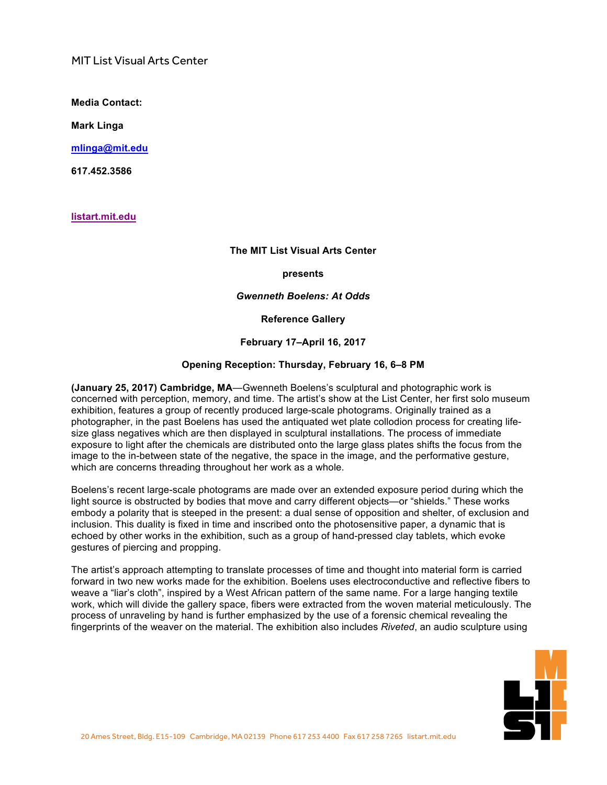MIT List Visual Arts Center

**Media Contact:**

**Mark Linga**

**[mlinga@mit.edu](mailto:mlinga@mit.edu)**

**[617.452.3586](tel:6174523586)**

**<listart.mit.edu>**

## **The MIT List Visual Arts Center**

#### **presents**

#### *Gwenneth Boelens: At Odds*

**Reference Gallery**

### **February 17–April 16, 2017**

### **Opening Reception: Thursday, February 16, 6–8 PM**

**(January 25, 2017) Cambridge, MA**—Gwenneth Boelens's sculptural and photographic work is concerned with perception, memory, and time. The artist's show at the List Center, her first solo museum exhibition, features a group of recently produced large-scale photograms. Originally trained as a photographer, in the past Boelens has used the antiquated wet plate collodion process for creating lifesize glass negatives which are then displayed in sculptural installations. The process of immediate exposure to light after the chemicals are distributed onto the large glass plates shifts the focus from the image to the in-between state of the negative, the space in the image, and the performative gesture, which are concerns threading throughout her work as a whole.

Boelens's recent large-scale photograms are made over an extended exposure period during which the light source is obstructed by bodies that move and carry different objects—or "shields." These works embody a polarity that is steeped in the present: a dual sense of opposition and shelter, of exclusion and inclusion. This duality is fixed in time and inscribed onto the photosensitive paper, a dynamic that is echoed by other works in the exhibition, such as a group of hand-pressed clay tablets, which evoke gestures of piercing and propping.

The artist's approach attempting to translate processes of time and thought into material form is carried forward in two new works made for the exhibition. Boelens uses electroconductive and reflective fibers to weave a "liar's cloth", inspired by a West African pattern of the same name. For a large hanging textile work, which will divide the gallery space, fibers were extracted from the woven material meticulously. The process of unraveling by hand is further emphasized by the use of a forensic chemical revealing the fingerprints of the weaver on the material. The exhibition also includes *Riveted*, an audio sculpture using